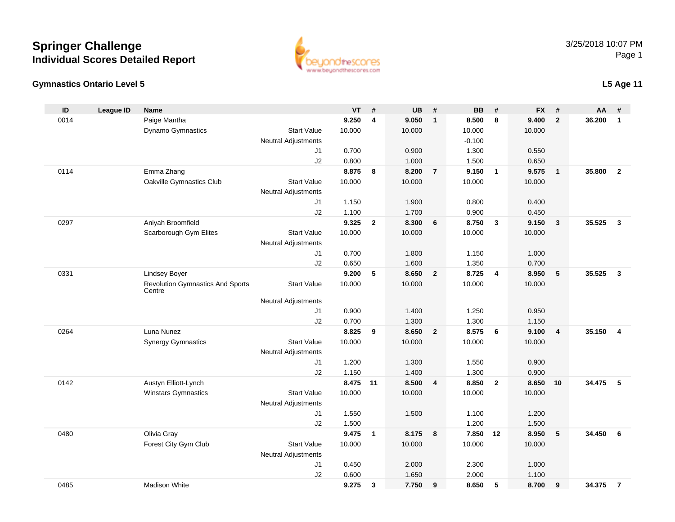#### **Gymnastics Ontario Level 5**

0485

| ID   | <b>League ID</b> | <b>Name</b>                                       |                            | VT       | $\pmb{\#}$   | <b>UB</b> | $\#$                    | <b>BB</b> | #                       | <b>FX</b> | #                       | AA       | $\pmb{\#}$     |
|------|------------------|---------------------------------------------------|----------------------------|----------|--------------|-----------|-------------------------|-----------|-------------------------|-----------|-------------------------|----------|----------------|
| 0014 |                  | Paige Mantha                                      |                            | 9.250    | 4            | 9.050     | $\overline{1}$          | 8.500     | 8                       | 9.400     | $\overline{2}$          | 36.200   | $\mathbf{1}$   |
|      |                  | <b>Dynamo Gymnastics</b>                          | <b>Start Value</b>         | 10.000   |              | 10.000    |                         | 10.000    |                         | 10.000    |                         |          |                |
|      |                  |                                                   | Neutral Adjustments        |          |              |           |                         | $-0.100$  |                         |           |                         |          |                |
|      |                  |                                                   | J <sub>1</sub>             | 0.700    |              | 0.900     |                         | 1.300     |                         | 0.550     |                         |          |                |
|      |                  |                                                   | J2                         | 0.800    |              | 1.000     |                         | 1.500     |                         | 0.650     |                         |          |                |
| 0114 |                  | Emma Zhang                                        |                            | 8.875    | 8            | 8.200     | $\overline{7}$          | 9.150     | $\overline{\mathbf{1}}$ | 9.575     | $\overline{\mathbf{1}}$ | 35.800   | $\overline{2}$ |
|      |                  | Oakville Gymnastics Club                          | <b>Start Value</b>         | 10.000   |              | 10.000    |                         | 10.000    |                         | 10.000    |                         |          |                |
|      |                  |                                                   | <b>Neutral Adjustments</b> |          |              |           |                         |           |                         |           |                         |          |                |
|      |                  |                                                   | J1                         | 1.150    |              | 1.900     |                         | 0.800     |                         | 0.400     |                         |          |                |
|      |                  |                                                   | J2                         | 1.100    |              | 1.700     |                         | 0.900     |                         | 0.450     |                         |          |                |
| 0297 |                  | Aniyah Broomfield                                 |                            | 9.325    | $\mathbf{2}$ | 8.300     | 6                       | 8.750     | $\overline{\mathbf{3}}$ | 9.150     | $\overline{\mathbf{3}}$ | 35.525   | $\overline{3}$ |
|      |                  | Scarborough Gym Elites                            | <b>Start Value</b>         | 10.000   |              | 10.000    |                         | 10.000    |                         | 10.000    |                         |          |                |
|      |                  |                                                   | <b>Neutral Adjustments</b> |          |              |           |                         |           |                         |           |                         |          |                |
|      |                  |                                                   | J1                         | 0.700    |              | 1.800     |                         | 1.150     |                         | 1.000     |                         |          |                |
|      |                  |                                                   | J2                         | 0.650    |              | 1.600     |                         | 1.350     |                         | 0.700     |                         |          |                |
| 0331 |                  | <b>Lindsey Boyer</b>                              |                            | 9.200    | 5            | 8.650     | $\overline{2}$          | 8.725     | $\overline{4}$          | 8.950     | 5                       | 35.525   | $\mathbf{3}$   |
|      |                  | <b>Revolution Gymnastics And Sports</b><br>Centre | <b>Start Value</b>         | 10.000   |              | 10.000    |                         | 10.000    |                         | 10.000    |                         |          |                |
|      |                  |                                                   | <b>Neutral Adjustments</b> |          |              |           |                         |           |                         |           |                         |          |                |
|      |                  |                                                   | J1                         | 0.900    |              | 1.400     |                         | 1.250     |                         | 0.950     |                         |          |                |
|      |                  |                                                   | J2                         | 0.700    |              | 1.300     |                         | 1.300     |                         | 1.150     |                         |          |                |
| 0264 |                  | Luna Nunez                                        |                            | 8.825    | 9            | 8.650     | $\overline{\mathbf{2}}$ | 8.575     | 6                       | 9.100     | $\overline{\mathbf{4}}$ | 35.150   | $\overline{4}$ |
|      |                  | <b>Synergy Gymnastics</b>                         | <b>Start Value</b>         | 10.000   |              | 10.000    |                         | 10.000    |                         | 10.000    |                         |          |                |
|      |                  |                                                   | <b>Neutral Adjustments</b> |          |              |           |                         |           |                         |           |                         |          |                |
|      |                  |                                                   | J <sub>1</sub>             | 1.200    |              | 1.300     |                         | 1.550     |                         | 0.900     |                         |          |                |
|      |                  |                                                   | J2                         | 1.150    |              | 1.400     |                         | 1.300     |                         | 0.900     |                         |          |                |
| 0142 |                  | Austyn Elliott-Lynch                              |                            | 8.475 11 |              | 8.500     | $\overline{4}$          | 8.850     | $\overline{2}$          | 8.650     | 10                      | 34.475 5 |                |
|      |                  | <b>Winstars Gymnastics</b>                        | <b>Start Value</b>         | 10.000   |              | 10.000    |                         | 10.000    |                         | 10.000    |                         |          |                |
|      |                  |                                                   | Neutral Adjustments        |          |              |           |                         |           |                         |           |                         |          |                |
|      |                  |                                                   | J1                         | 1.550    |              | 1.500     |                         | 1.100     |                         | 1.200     |                         |          |                |
|      |                  |                                                   | J2                         | 1.500    |              |           |                         | 1.200     |                         | 1.500     |                         |          |                |
| 0480 |                  | Olivia Gray                                       |                            | 9.475    | $\mathbf{1}$ | 8.175     | $\overline{\mathbf{8}}$ | 7.850 12  |                         | 8.950     | 5                       | 34.450   | 6              |
|      |                  | Forest City Gym Club                              | <b>Start Value</b>         | 10.000   |              | 10.000    |                         | 10.000    |                         | 10.000    |                         |          |                |
|      |                  |                                                   | <b>Neutral Adjustments</b> |          |              |           |                         |           |                         |           |                         |          |                |
|      |                  |                                                   | J <sub>1</sub>             | 0.450    |              | 2.000     |                         | 2.300     |                         | 1.000     |                         |          |                |
|      |                  |                                                   | J2                         | 0.600    |              | 1.650     |                         | 2.000     |                         | 1.100     |                         |          |                |
|      |                  |                                                   |                            |          |              |           |                         |           |                         |           |                         |          |                |

Madison White **9.275 <sup>3</sup> 7.750 <sup>9</sup> 8.650 <sup>5</sup> 8.700 <sup>9</sup> 34.375 <sup>7</sup>**



**L5 Age 11**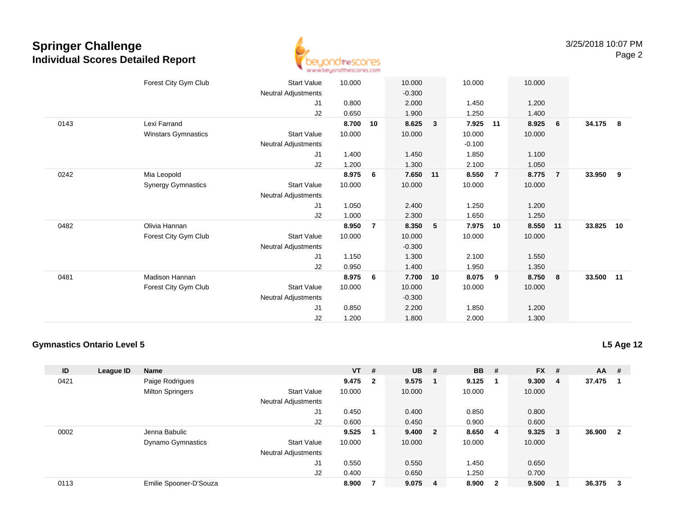

|      | Forest City Gym Club      | <b>Start Value</b>  | 10.000 |    | 10.000   |              | 10.000   |                | 10.000 |                         |           |            |
|------|---------------------------|---------------------|--------|----|----------|--------------|----------|----------------|--------|-------------------------|-----------|------------|
|      |                           | Neutral Adjustments |        |    | $-0.300$ |              |          |                |        |                         |           |            |
|      |                           | J1                  | 0.800  |    | 2.000    |              | 1.450    |                | 1.200  |                         |           |            |
|      |                           | J2                  | 0.650  |    | 1.900    |              | 1.250    |                | 1.400  |                         |           |            |
| 0143 | Lexi Farrand              |                     | 8.700  | 10 | 8.625    | $\mathbf{3}$ | 7.925    | 11             | 8.925  | 6                       | 34.175    | $_{\rm 8}$ |
|      | Winstars Gymnastics       | <b>Start Value</b>  | 10.000 |    | 10.000   |              | 10.000   |                | 10.000 |                         |           |            |
|      |                           |                     |        |    |          |              |          |                |        |                         |           |            |
|      |                           | Neutral Adjustments |        |    |          |              | $-0.100$ |                |        |                         |           |            |
|      |                           | J1                  | 1.400  |    | 1.450    |              | 1.850    |                | 1.100  |                         |           |            |
|      |                           | J2                  | 1.200  |    | 1.300    |              | 2.100    |                | 1.050  |                         |           |            |
| 0242 | Mia Leopold               |                     | 8.975  | 6  | 7.650    | 11           | 8.550    | $\overline{7}$ | 8.775  | $\overline{7}$          | 33.950    | 9          |
|      | <b>Synergy Gymnastics</b> | <b>Start Value</b>  | 10.000 |    | 10.000   |              | 10.000   |                | 10.000 |                         |           |            |
|      |                           | Neutral Adjustments |        |    |          |              |          |                |        |                         |           |            |
|      |                           | J1                  | 1.050  |    | 2.400    |              | 1.250    |                | 1.200  |                         |           |            |
|      |                           | J2                  | 1.000  |    | 2.300    |              | 1.650    |                | 1.250  |                         |           |            |
| 0482 | Olivia Hannan             |                     | 8.950  | 7  | 8.350    | 5            | 7.975    | 10             | 8.550  | $-11$                   | 33.825    | 10         |
|      | Forest City Gym Club      | <b>Start Value</b>  | 10.000 |    | 10.000   |              | 10.000   |                | 10.000 |                         |           |            |
|      |                           | Neutral Adjustments |        |    | $-0.300$ |              |          |                |        |                         |           |            |
|      |                           | J1                  | 1.150  |    | 1.300    |              | 2.100    |                | 1.550  |                         |           |            |
|      |                           | J2                  | 0.950  |    | 1.400    |              | 1.950    |                | 1.350  |                         |           |            |
| 0481 | <b>Madison Hannan</b>     |                     | 8.975  | 6  | 7.700    | 10           | 8.075    | 9              | 8.750  | $\overline{\mathbf{8}}$ | 33.500 11 |            |
|      | Forest City Gym Club      | <b>Start Value</b>  | 10.000 |    | 10.000   |              | 10.000   |                | 10.000 |                         |           |            |
|      |                           | Neutral Adjustments |        |    | $-0.300$ |              |          |                |        |                         |           |            |
|      |                           |                     |        |    |          |              |          |                |        |                         |           |            |
|      |                           | J <sub>1</sub>      | 0.850  |    | 2.200    |              | 1.850    |                | 1.200  |                         |           |            |
|      |                           | J2                  | 1.200  |    | 1.800    |              | 2.000    |                | 1.300  |                         |           |            |

#### **Gymnastics Ontario Level 5**

**L5 Age 12**

| ID   | <b>League ID</b> | <b>Name</b>              |                            | $VT$ # |                | $UB$ # |                         | <b>BB</b> | #                       | $FX$ # |                | $AA$ # |                         |
|------|------------------|--------------------------|----------------------------|--------|----------------|--------|-------------------------|-----------|-------------------------|--------|----------------|--------|-------------------------|
| 0421 |                  | Paige Rodrigues          |                            | 9.475  | $\overline{2}$ | 9.575  | -1                      | 9.125     |                         | 9.300  | $\overline{4}$ | 37.475 | - 1                     |
|      |                  | <b>Milton Springers</b>  | <b>Start Value</b>         | 10.000 |                | 10.000 |                         | 10.000    |                         | 10.000 |                |        |                         |
|      |                  |                          | <b>Neutral Adjustments</b> |        |                |        |                         |           |                         |        |                |        |                         |
|      |                  |                          | J <sub>1</sub>             | 0.450  |                | 0.400  |                         | 0.850     |                         | 0.800  |                |        |                         |
|      |                  |                          | J2                         | 0.600  |                | 0.450  |                         | 0.900     |                         | 0.600  |                |        |                         |
| 0002 |                  | Jenna Babulic            |                            | 9.525  |                | 9.400  | $\overline{\mathbf{2}}$ | 8.650     | -4                      | 9.325  | $_{3}$         | 36.900 | $\overline{\mathbf{2}}$ |
|      |                  | <b>Dynamo Gymnastics</b> | <b>Start Value</b>         | 10.000 |                | 10.000 |                         | 10.000    |                         | 10.000 |                |        |                         |
|      |                  |                          | <b>Neutral Adjustments</b> |        |                |        |                         |           |                         |        |                |        |                         |
|      |                  |                          | J <sub>1</sub>             | 0.550  |                | 0.550  |                         | 1.450     |                         | 0.650  |                |        |                         |
|      |                  |                          | J2                         | 0.400  |                | 0.650  |                         | 1.250     |                         | 0.700  |                |        |                         |
| 0113 |                  | Emilie Spooner-D'Souza   |                            | 8.900  |                | 9.075  | -4                      | 8.900     | $\overline{\mathbf{2}}$ | 9.500  |                | 36.375 | $_{3}$                  |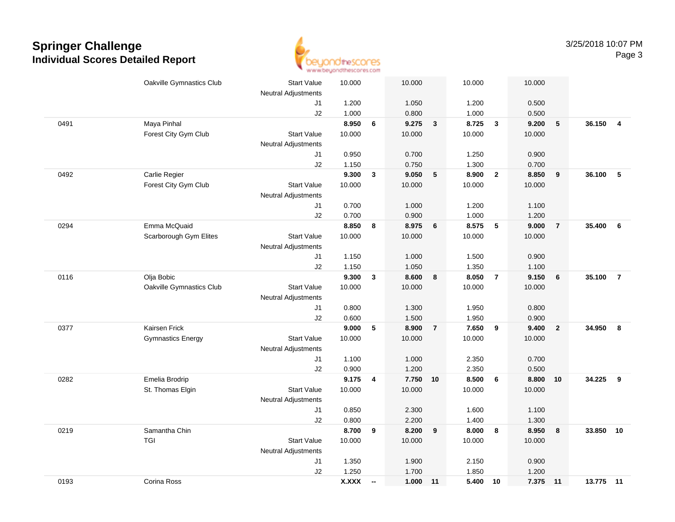

|      | Oakville Gymnastics Club | <b>Start Value</b>         | 10.000 |                          | 10.000   |                | 10.000 |                         | 10.000 |                |           |                         |
|------|--------------------------|----------------------------|--------|--------------------------|----------|----------------|--------|-------------------------|--------|----------------|-----------|-------------------------|
|      |                          | <b>Neutral Adjustments</b> |        |                          |          |                |        |                         |        |                |           |                         |
|      |                          | J1                         | 1.200  |                          | 1.050    |                | 1.200  |                         | 0.500  |                |           |                         |
|      |                          | J2                         | 1.000  |                          | 0.800    |                | 1.000  |                         | 0.500  |                |           |                         |
| 0491 | Maya Pinhal              |                            | 8.950  | 6                        | 9.275    | $\mathbf{3}$   | 8.725  | $\overline{\mathbf{3}}$ | 9.200  | 5              | 36.150    | $\overline{\mathbf{4}}$ |
|      | Forest City Gym Club     | <b>Start Value</b>         | 10.000 |                          | 10.000   |                | 10.000 |                         | 10.000 |                |           |                         |
|      |                          | <b>Neutral Adjustments</b> |        |                          |          |                |        |                         |        |                |           |                         |
|      |                          | J1                         | 0.950  |                          | 0.700    |                | 1.250  |                         | 0.900  |                |           |                         |
|      |                          | J2                         | 1.150  |                          | 0.750    |                | 1.300  |                         | 0.700  |                |           |                         |
| 0492 | Carlie Regier            |                            | 9.300  | 3                        | 9.050    | 5              | 8.900  | $\overline{2}$          | 8.850  | 9              | 36.100    | 5                       |
|      | Forest City Gym Club     | <b>Start Value</b>         | 10.000 |                          | 10.000   |                | 10.000 |                         | 10.000 |                |           |                         |
|      |                          | <b>Neutral Adjustments</b> |        |                          |          |                |        |                         |        |                |           |                         |
|      |                          | J1                         | 0.700  |                          | 1.000    |                | 1.200  |                         | 1.100  |                |           |                         |
|      |                          | J2                         | 0.700  |                          | 0.900    |                | 1.000  |                         | 1.200  |                |           |                         |
| 0294 | Emma McQuaid             |                            | 8.850  | 8                        | 8.975    | 6              | 8.575  | $-5$                    | 9.000  | $\overline{7}$ | 35.400    | 6                       |
|      | Scarborough Gym Elites   | <b>Start Value</b>         | 10.000 |                          | 10.000   |                | 10.000 |                         | 10.000 |                |           |                         |
|      |                          | <b>Neutral Adjustments</b> |        |                          |          |                |        |                         |        |                |           |                         |
|      |                          | J1                         | 1.150  |                          | 1.000    |                | 1.500  |                         | 0.900  |                |           |                         |
|      |                          | J2                         | 1.150  |                          | 1.050    |                | 1.350  |                         | 1.100  |                |           |                         |
| 0116 | Olja Bobic               |                            | 9.300  | $\mathbf{3}$             | 8.600    | 8              | 8.050  | $\overline{7}$          | 9.150  | 6              | 35.100    | $\overline{7}$          |
|      | Oakville Gymnastics Club | <b>Start Value</b>         | 10.000 |                          | 10.000   |                | 10.000 |                         | 10.000 |                |           |                         |
|      |                          | <b>Neutral Adjustments</b> |        |                          |          |                |        |                         |        |                |           |                         |
|      |                          | J1                         | 0.800  |                          | 1.300    |                | 1.950  |                         | 0.800  |                |           |                         |
|      |                          | J2                         | 0.600  |                          | 1.500    |                | 1.950  |                         | 0.900  |                |           |                         |
| 0377 | Kairsen Frick            |                            | 9.000  | 5                        | 8.900    | $\overline{7}$ | 7.650  | 9                       | 9.400  | $\overline{2}$ | 34.950    | 8                       |
|      | <b>Gymnastics Energy</b> | <b>Start Value</b>         | 10.000 |                          | 10.000   |                | 10.000 |                         | 10.000 |                |           |                         |
|      |                          | <b>Neutral Adjustments</b> |        |                          |          |                |        |                         |        |                |           |                         |
|      |                          | J1                         | 1.100  |                          | 1.000    |                | 2.350  |                         | 0.700  |                |           |                         |
|      |                          | J2                         | 0.900  |                          | 1.200    |                | 2.350  |                         | 0.500  |                |           |                         |
| 0282 | Emelia Brodrip           |                            | 9.175  | 4                        | 7.750 10 |                | 8.500  | 6                       | 8.800  | 10             | 34.225    | 9                       |
|      | St. Thomas Elgin         | <b>Start Value</b>         | 10.000 |                          | 10.000   |                | 10.000 |                         | 10.000 |                |           |                         |
|      |                          | <b>Neutral Adjustments</b> |        |                          |          |                |        |                         |        |                |           |                         |
|      |                          | J1                         | 0.850  |                          | 2.300    |                | 1.600  |                         | 1.100  |                |           |                         |
|      |                          | J2                         | 0.800  |                          | 2.200    |                | 1.400  |                         | 1.300  |                |           |                         |
| 0219 | Samantha Chin            |                            | 8.700  | 9                        | 8.200    | 9              | 8.000  | 8                       | 8.950  | 8              | 33.850    | 10                      |
|      | <b>TGI</b>               | <b>Start Value</b>         | 10.000 |                          | 10.000   |                | 10.000 |                         | 10.000 |                |           |                         |
|      |                          | <b>Neutral Adjustments</b> |        |                          |          |                |        |                         |        |                |           |                         |
|      |                          | J1                         | 1.350  |                          | 1.900    |                | 2.150  |                         | 0.900  |                |           |                         |
|      |                          | J2                         | 1.250  |                          | 1.700    |                | 1.850  |                         | 1.200  |                |           |                         |
| 0193 | Corina Ross              |                            | X.XXX  | $\overline{\phantom{a}}$ | 1.000    | 11             | 5.400  | 10                      | 7.375  | $-11$          | 13.775 11 |                         |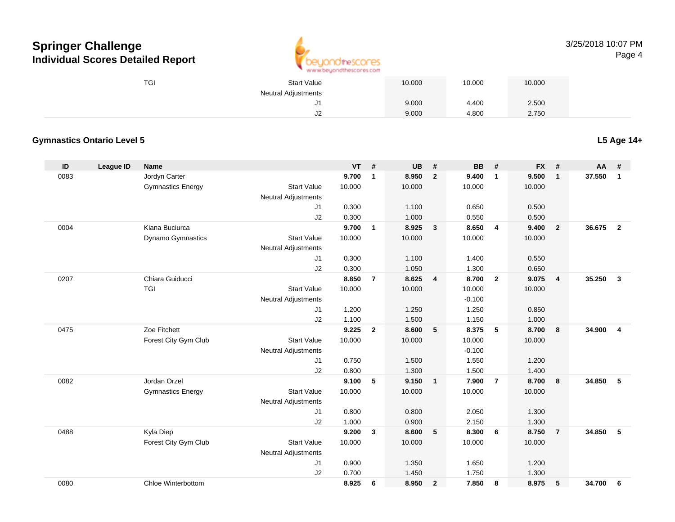

#### 3/25/2018 10:07 PMPage 4

| TGI | <b>Start Value</b>  | 10.000 | 10.000 | 10.000 |
|-----|---------------------|--------|--------|--------|
|     | Neutral Adjustments |        |        |        |
|     | J1                  | 9.000  | 4.400  | 2.500  |
|     | J <sub>2</sub>      | 9.000  | 4.800  | 2.750  |

### **Gymnastics Ontario Level 5**

**L5 Age 14+**

| ID   | <b>League ID</b> | <b>Name</b>              |                            | <b>VT</b> | #              | <b>UB</b> | #                       | <b>BB</b> | #              | <b>FX</b> | #              | AA     | #                       |
|------|------------------|--------------------------|----------------------------|-----------|----------------|-----------|-------------------------|-----------|----------------|-----------|----------------|--------|-------------------------|
| 0083 |                  | Jordyn Carter            |                            | 9.700     | $\mathbf{1}$   | 8.950     | $\overline{2}$          | 9.400     | $\mathbf{1}$   | 9.500     | $\mathbf{1}$   | 37.550 | $\mathbf{1}$            |
|      |                  | <b>Gymnastics Energy</b> | <b>Start Value</b>         | 10.000    |                | 10.000    |                         | 10.000    |                | 10.000    |                |        |                         |
|      |                  |                          | Neutral Adjustments        |           |                |           |                         |           |                |           |                |        |                         |
|      |                  |                          | J1                         | 0.300     |                | 1.100     |                         | 0.650     |                | 0.500     |                |        |                         |
|      |                  |                          | J2                         | 0.300     |                | 1.000     |                         | 0.550     |                | 0.500     |                |        |                         |
| 0004 |                  | Kiana Buciurca           |                            | 9.700     | $\mathbf{1}$   | 8.925     | $\overline{3}$          | 8.650     | $\overline{4}$ | 9.400     | $\overline{2}$ | 36.675 | $\overline{2}$          |
|      |                  | <b>Dynamo Gymnastics</b> | <b>Start Value</b>         | 10.000    |                | 10.000    |                         | 10.000    |                | 10.000    |                |        |                         |
|      |                  |                          | <b>Neutral Adjustments</b> |           |                |           |                         |           |                |           |                |        |                         |
|      |                  |                          | J1                         | 0.300     |                | 1.100     |                         | 1.400     |                | 0.550     |                |        |                         |
|      |                  |                          | J2                         | 0.300     |                | 1.050     |                         | 1.300     |                | 0.650     |                |        |                         |
| 0207 |                  | Chiara Guiducci          |                            | 8.850     | $\overline{7}$ | 8.625     | $\overline{\mathbf{4}}$ | 8.700     | $\overline{2}$ | 9.075     | $\overline{4}$ | 35.250 | $\mathbf{3}$            |
|      |                  | <b>TGI</b>               | <b>Start Value</b>         | 10.000    |                | 10.000    |                         | 10.000    |                | 10.000    |                |        |                         |
|      |                  |                          | <b>Neutral Adjustments</b> |           |                |           |                         | $-0.100$  |                |           |                |        |                         |
|      |                  |                          | J1                         | 1.200     |                | 1.250     |                         | 1.250     |                | 0.850     |                |        |                         |
|      |                  |                          | J2                         | 1.100     |                | 1.500     |                         | 1.150     |                | 1.000     |                |        |                         |
| 0475 |                  | Zoe Fitchett             |                            | 9.225     | $\overline{2}$ | 8.600     | 5                       | 8.375     | 5              | 8.700     | 8              | 34.900 | $\overline{\mathbf{4}}$ |
|      |                  | Forest City Gym Club     | <b>Start Value</b>         | 10.000    |                | 10.000    |                         | 10.000    |                | 10.000    |                |        |                         |
|      |                  |                          | <b>Neutral Adjustments</b> |           |                |           |                         | $-0.100$  |                |           |                |        |                         |
|      |                  |                          | J1                         | 0.750     |                | 1.500     |                         | 1.550     |                | 1.200     |                |        |                         |
|      |                  |                          | J2                         | 0.800     |                | 1.300     |                         | 1.500     |                | 1.400     |                |        |                         |
| 0082 |                  | Jordan Orzel             |                            | 9.100     | 5              | 9.150     | $\mathbf{1}$            | 7.900     | $\overline{7}$ | 8.700     | 8              | 34.850 | 5                       |
|      |                  | <b>Gymnastics Energy</b> | <b>Start Value</b>         | 10.000    |                | 10.000    |                         | 10.000    |                | 10.000    |                |        |                         |
|      |                  |                          | Neutral Adjustments        |           |                |           |                         |           |                |           |                |        |                         |
|      |                  |                          | J1                         | 0.800     |                | 0.800     |                         | 2.050     |                | 1.300     |                |        |                         |
|      |                  |                          | J2                         | 1.000     |                | 0.900     |                         | 2.150     |                | 1.300     |                |        |                         |
| 0488 |                  | Kyla Diep                |                            | 9.200     | $\mathbf{3}$   | 8.600     | 5                       | 8.300     | 6              | 8.750     | $\overline{7}$ | 34.850 | 5                       |
|      |                  | Forest City Gym Club     | <b>Start Value</b>         | 10.000    |                | 10.000    |                         | 10.000    |                | 10.000    |                |        |                         |
|      |                  |                          | <b>Neutral Adjustments</b> |           |                |           |                         |           |                |           |                |        |                         |
|      |                  |                          | J1                         | 0.900     |                | 1.350     |                         | 1.650     |                | 1.200     |                |        |                         |
|      |                  |                          | J2                         | 0.700     |                | 1.450     |                         | 1.750     |                | 1.300     |                |        |                         |
| 0080 |                  | Chloe Winterbottom       |                            | 8.925     | 6              | 8.950     | $\overline{2}$          | 7.850     | 8              | 8.975     | 5              | 34.700 | 6                       |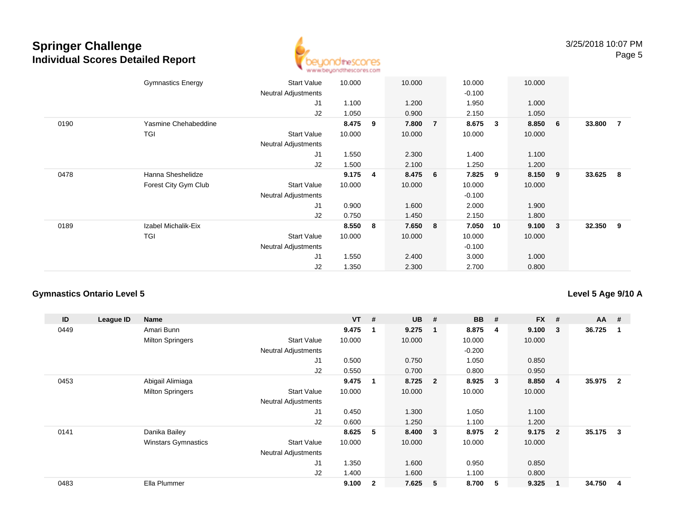

|      | <b>Gymnastics Energy</b> | Start Value<br><b>Neutral Adjustments</b> | 10.000 |   | 10.000  |                 | 10.000<br>$-0.100$ |    | 10.000 |                         |          |                |
|------|--------------------------|-------------------------------------------|--------|---|---------|-----------------|--------------------|----|--------|-------------------------|----------|----------------|
|      |                          | J <sub>1</sub>                            | 1.100  |   | 1.200   |                 | 1.950              |    | 1.000  |                         |          |                |
|      |                          | J2                                        | 1.050  |   | 0.900   |                 | 2.150              |    | 1.050  |                         |          |                |
| 0190 | Yasmine Chehabeddine     |                                           | 8.475  | 9 | 7.800   | $\overline{7}$  | 8.675              | 3  | 8.850  | - 6                     | 33.800   | $\overline{7}$ |
|      | TGI                      | <b>Start Value</b>                        | 10.000 |   | 10.000  |                 | 10.000             |    | 10.000 |                         |          |                |
|      |                          | <b>Neutral Adjustments</b>                |        |   |         |                 |                    |    |        |                         |          |                |
|      |                          | J <sub>1</sub>                            | 1.550  |   | 2.300   |                 | 1.400              |    | 1.100  |                         |          |                |
|      |                          | J2                                        | 1.500  |   | 2.100   |                 | 1.250              |    | 1.200  |                         |          |                |
| 0478 | Hanna Sheshelidze        |                                           | 9.175  | 4 | 8.475   | $6\overline{6}$ | 7.825              | 9  | 8.150  | - 9                     | 33.625 8 |                |
|      | Forest City Gym Club     | Start Value                               | 10.000 |   | 10.000  |                 | 10.000             |    | 10.000 |                         |          |                |
|      |                          | <b>Neutral Adjustments</b>                |        |   |         |                 | $-0.100$           |    |        |                         |          |                |
|      |                          | J <sub>1</sub>                            | 0.900  |   | 1.600   |                 | 2.000              |    | 1.900  |                         |          |                |
|      |                          | J2                                        | 0.750  |   | 1.450   |                 | 2.150              |    | 1.800  |                         |          |                |
| 0189 | Izabel Michalik-Eix      |                                           | 8.550  | 8 | 7.650 8 |                 | 7.050              | 10 | 9.100  | $\overline{\mathbf{3}}$ | 32.350   | - 9            |
|      | <b>TGI</b>               | <b>Start Value</b>                        | 10.000 |   | 10.000  |                 | 10.000             |    | 10.000 |                         |          |                |
|      |                          | <b>Neutral Adjustments</b>                |        |   |         |                 | $-0.100$           |    |        |                         |          |                |
|      |                          | J <sub>1</sub>                            | 1.550  |   | 2.400   |                 | 3.000              |    | 1.000  |                         |          |                |
|      |                          | J2                                        | 1.350  |   | 2.300   |                 | 2.700              |    | 0.800  |                         |          |                |

### **Gymnastics Ontario Level 5**

**Level 5 Age 9/10 A**

| ID   | League ID | <b>Name</b>                |                            | $VT$ # |                | <b>UB</b> | #                       | <b>BB</b> | #              | $FX$ # |                | $AA$ # |                         |
|------|-----------|----------------------------|----------------------------|--------|----------------|-----------|-------------------------|-----------|----------------|--------|----------------|--------|-------------------------|
| 0449 |           | Amari Bunn                 |                            | 9.475  |                | 9.275     | - 1                     | 8.875     | 4              | 9.100  | 3              | 36.725 |                         |
|      |           | <b>Milton Springers</b>    | <b>Start Value</b>         | 10.000 |                | 10.000    |                         | 10.000    |                | 10.000 |                |        |                         |
|      |           |                            | <b>Neutral Adjustments</b> |        |                |           |                         | $-0.200$  |                |        |                |        |                         |
|      |           |                            | J1                         | 0.500  |                | 0.750     |                         | 1.050     |                | 0.850  |                |        |                         |
|      |           |                            | J <sub>2</sub>             | 0.550  |                | 0.700     |                         | 0.800     |                | 0.950  |                |        |                         |
| 0453 |           | Abigail Alimiaga           |                            | 9.475  | -1             | 8.725     | $\overline{\mathbf{2}}$ | 8.925     | 3              | 8.850  | 4              | 35.975 | $\overline{\mathbf{2}}$ |
|      |           | <b>Milton Springers</b>    | <b>Start Value</b>         | 10.000 |                | 10.000    |                         | 10.000    |                | 10.000 |                |        |                         |
|      |           |                            | Neutral Adjustments        |        |                |           |                         |           |                |        |                |        |                         |
|      |           |                            | J1                         | 0.450  |                | 1.300     |                         | 1.050     |                | 1.100  |                |        |                         |
|      |           |                            | J <sub>2</sub>             | 0.600  |                | 1.250     |                         | 1.100     |                | 1.200  |                |        |                         |
| 0141 |           | Danika Bailey              |                            | 8.625  | 5              | 8.400     | $\overline{\mathbf{3}}$ | 8.975     | $\overline{2}$ | 9.175  | $\overline{2}$ | 35.175 | 3                       |
|      |           | <b>Winstars Gymnastics</b> | <b>Start Value</b>         | 10.000 |                | 10.000    |                         | 10.000    |                | 10.000 |                |        |                         |
|      |           |                            | <b>Neutral Adjustments</b> |        |                |           |                         |           |                |        |                |        |                         |
|      |           |                            | J1                         | 1.350  |                | 1.600     |                         | 0.950     |                | 0.850  |                |        |                         |
|      |           |                            | J <sub>2</sub>             | 1.400  |                | 1.600     |                         | 1.100     |                | 0.800  |                |        |                         |
| 0483 |           | Ella Plummer               |                            | 9.100  | $\overline{2}$ | 7.625     | 5                       | 8.700     | 5              | 9.325  | 1              | 34.750 | 4                       |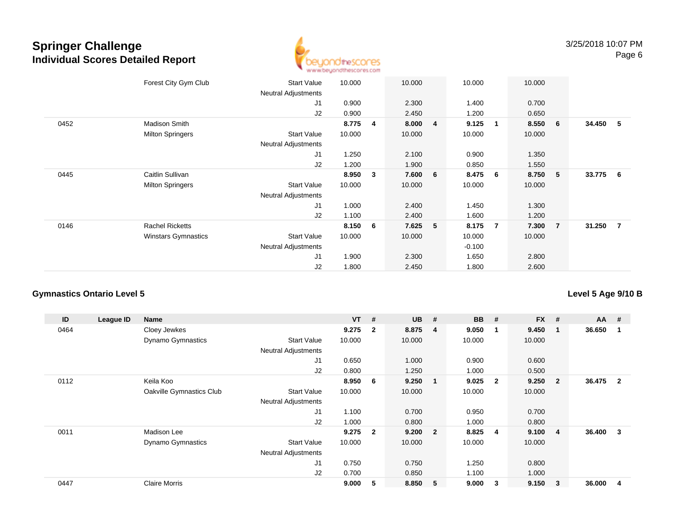

|      | Forest City Gym Club       | <b>Start Value</b><br><b>Neutral Adjustments</b> | 10.000 |   | 10.000 |                | 10.000   |                | 10.000 |                |          |                |
|------|----------------------------|--------------------------------------------------|--------|---|--------|----------------|----------|----------------|--------|----------------|----------|----------------|
|      |                            | J <sub>1</sub>                                   | 0.900  |   | 2.300  |                | 1.400    |                | 0.700  |                |          |                |
|      |                            | J2                                               | 0.900  |   | 2.450  |                | 1.200    |                | 0.650  |                |          |                |
| 0452 | Madison Smith              |                                                  | 8.775  | 4 | 8.000  | $\overline{4}$ | 9.125    | $\mathbf{1}$   | 8.550  | - 6            | 34.450   | - 5            |
|      | <b>Milton Springers</b>    | <b>Start Value</b>                               | 10.000 |   | 10.000 |                | 10.000   |                | 10.000 |                |          |                |
|      |                            | <b>Neutral Adjustments</b>                       |        |   |        |                |          |                |        |                |          |                |
|      |                            | J <sub>1</sub>                                   | 1.250  |   | 2.100  |                | 0.900    |                | 1.350  |                |          |                |
|      |                            | J2                                               | 1.200  |   | 1.900  |                | 0.850    |                | 1.550  |                |          |                |
| 0445 | Caitlin Sullivan           |                                                  | 8.950  | 3 | 7.600  | 6              | 8.475    | 6              | 8.750  | $-5$           | 33.775 6 |                |
|      | <b>Milton Springers</b>    | <b>Start Value</b>                               | 10.000 |   | 10.000 |                | 10.000   |                | 10.000 |                |          |                |
|      |                            | Neutral Adjustments                              |        |   |        |                |          |                |        |                |          |                |
|      |                            | J1                                               | 1.000  |   | 2.400  |                | 1.450    |                | 1.300  |                |          |                |
|      |                            | J2                                               | 1.100  |   | 2.400  |                | 1.600    |                | 1.200  |                |          |                |
| 0146 | <b>Rachel Ricketts</b>     |                                                  | 8.150  | 6 | 7.625  | 5              | 8.175    | $\overline{7}$ | 7.300  | $\overline{7}$ | 31.250   | $\overline{7}$ |
|      | <b>Winstars Gymnastics</b> | <b>Start Value</b>                               | 10.000 |   | 10.000 |                | 10.000   |                | 10.000 |                |          |                |
|      |                            | <b>Neutral Adjustments</b>                       |        |   |        |                | $-0.100$ |                |        |                |          |                |
|      |                            | J <sub>1</sub>                                   | 1.900  |   | 2.300  |                | 1.650    |                | 2.800  |                |          |                |
|      |                            | J2                                               | 1.800  |   | 2.450  |                | 1.800    |                | 2.600  |                |          |                |

### **Gymnastics Ontario Level 5**

**Level 5 Age 9/10 B**

| ID   | League ID | Name                     |                            | <b>VT</b> | #              | <b>UB</b> | #                       | <b>BB</b> | #              | <b>FX</b> | #              | $AA$ # |              |
|------|-----------|--------------------------|----------------------------|-----------|----------------|-----------|-------------------------|-----------|----------------|-----------|----------------|--------|--------------|
| 0464 |           | Cloey Jewkes             |                            | 9.275     | $\mathbf{2}$   | 8.875     | 4                       | 9.050     | -1             | 9.450     | 1              | 36.650 |              |
|      |           | <b>Dynamo Gymnastics</b> | <b>Start Value</b>         | 10.000    |                | 10.000    |                         | 10.000    |                | 10.000    |                |        |              |
|      |           |                          | <b>Neutral Adjustments</b> |           |                |           |                         |           |                |           |                |        |              |
|      |           |                          | J1                         | 0.650     |                | 1.000     |                         | 0.900     |                | 0.600     |                |        |              |
|      |           |                          | J2                         | 0.800     |                | 1.250     |                         | 1.000     |                | 0.500     |                |        |              |
| 0112 |           | Keila Koo                |                            | 8.950     | - 6            | 9.250     | $\blacksquare$          | 9.025     | $\overline{2}$ | 9.250     | $\overline{2}$ | 36.475 | $\mathbf{2}$ |
|      |           | Oakville Gymnastics Club | <b>Start Value</b>         | 10.000    |                | 10.000    |                         | 10.000    |                | 10.000    |                |        |              |
|      |           |                          | <b>Neutral Adjustments</b> |           |                |           |                         |           |                |           |                |        |              |
|      |           |                          | J1                         | 1.100     |                | 0.700     |                         | 0.950     |                | 0.700     |                |        |              |
|      |           |                          | J2                         | 1.000     |                | 0.800     |                         | 1.000     |                | 0.800     |                |        |              |
| 0011 |           | Madison Lee              |                            | 9.275     | $\overline{2}$ | 9.200     | $\overline{\mathbf{2}}$ | 8.825     | $\overline{4}$ | 9.100     | 4              | 36.400 | 3            |
|      |           | <b>Dynamo Gymnastics</b> | <b>Start Value</b>         | 10.000    |                | 10.000    |                         | 10.000    |                | 10.000    |                |        |              |
|      |           |                          | <b>Neutral Adjustments</b> |           |                |           |                         |           |                |           |                |        |              |
|      |           |                          | J1                         | 0.750     |                | 0.750     |                         | 1.250     |                | 0.800     |                |        |              |
|      |           |                          | J2                         | 0.700     |                | 0.850     |                         | 1.100     |                | 1.000     |                |        |              |
| 0447 |           | <b>Claire Morris</b>     |                            | 9.000     | 5              | 8.850     | - 5                     | 9.000     | 3              | 9.150     | 3              | 36.000 | 4            |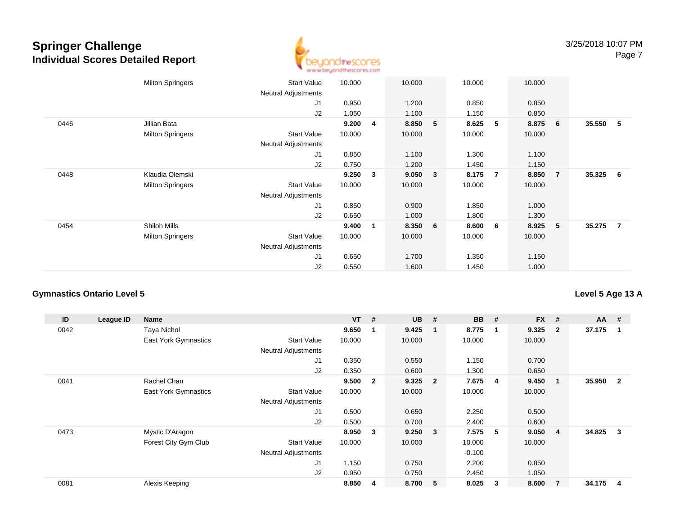

|      | <b>Milton Springers</b> | <b>Start Value</b><br><b>Neutral Adjustments</b> | 10.000 |             | 10.000  |   | 10.000 |   | 10.000 |                |          |   |
|------|-------------------------|--------------------------------------------------|--------|-------------|---------|---|--------|---|--------|----------------|----------|---|
|      |                         | J1                                               | 0.950  |             | 1.200   |   | 0.850  |   | 0.850  |                |          |   |
|      |                         | J2                                               | 1.050  |             | 1.100   |   | 1.150  |   | 0.850  |                |          |   |
| 0446 | Jillian Bata            |                                                  | 9.200  | 4           | 8.850   | 5 | 8.625  | 5 | 8.875  | 6              | 35.550   | 5 |
|      | <b>Milton Springers</b> | <b>Start Value</b>                               | 10.000 |             | 10.000  |   | 10.000 |   | 10.000 |                |          |   |
|      |                         | <b>Neutral Adjustments</b>                       |        |             |         |   |        |   |        |                |          |   |
|      |                         | J <sub>1</sub>                                   | 0.850  |             | 1.100   |   | 1.300  |   | 1.100  |                |          |   |
|      |                         | J2                                               | 0.750  |             | 1.200   |   | 1.450  |   | 1.150  |                |          |   |
| 0448 | Klaudia Olemski         |                                                  | 9.250  | 3           | 9.050 3 |   | 8.175  | 7 | 8.850  | $\overline{7}$ | 35.325   | 6 |
|      | <b>Milton Springers</b> | <b>Start Value</b>                               | 10.000 |             | 10.000  |   | 10.000 |   | 10.000 |                |          |   |
|      |                         | <b>Neutral Adjustments</b>                       |        |             |         |   |        |   |        |                |          |   |
|      |                         | J1                                               | 0.850  |             | 0.900   |   | 1.850  |   | 1.000  |                |          |   |
|      |                         | J2                                               | 0.650  |             | 1.000   |   | 1.800  |   | 1.300  |                |          |   |
| 0454 | Shiloh Mills            |                                                  | 9.400  | $\mathbf 1$ | 8.350 6 |   | 8.600  | 6 | 8.925  | 5              | 35.275 7 |   |
|      | <b>Milton Springers</b> | <b>Start Value</b>                               | 10.000 |             | 10.000  |   | 10.000 |   | 10.000 |                |          |   |
|      |                         | <b>Neutral Adjustments</b>                       |        |             |         |   |        |   |        |                |          |   |
|      |                         | J <sub>1</sub>                                   | 0.650  |             | 1.700   |   | 1.350  |   | 1.150  |                |          |   |
|      |                         | J2                                               | 0.550  |             | 1.600   |   | 1.450  |   | 1.000  |                |          |   |

#### **Gymnastics Ontario Level 5**

**ID League ID Name VT # UB # BB # FX # AA #** 0042 Taya Nichol **9.650 <sup>1</sup> 9.425 <sup>1</sup> 8.775 <sup>1</sup> 9.325 <sup>2</sup> 37.175 <sup>1</sup>** East York Gymnastics Start Valuee 10.000 10.000 10.000 10.000 Neutral Adjustments J1 0.350 0.550 1.150 0.700 J2 0.350 0.600 1.300 0.650 0041 Rachel Chan **9.500 <sup>2</sup> 9.325 <sup>2</sup> 7.675 <sup>4</sup> 9.450 <sup>1</sup> 35.950 <sup>2</sup>** East York Gymnastics Start Valuee 10.000 10.000 10.000 10.000 Neutral Adjustments J1 0.500 0.650 2.250 0.500 J2 0.500 0.700 2.400 0.600 0473 Mystic D'Aragon **8.950 <sup>3</sup> 9.250 <sup>3</sup> 7.575 <sup>5</sup> 9.050 <sup>4</sup> 34.825 <sup>3</sup>** Forest City Gym Club Start Value 10.000 10.000 10.000 10.000 Neutral Adjustments $-0.100$ 2.200 J1 1.150 0.750 2.200 0.850 J2 0.950 0.750 2.450 1.050 0081Alexis Keeping **8.850 <sup>4</sup> 8.700 <sup>5</sup> 8.025 <sup>3</sup> 8.600 <sup>7</sup> 34.175 <sup>4</sup>**

### **Level 5 Age 13 A**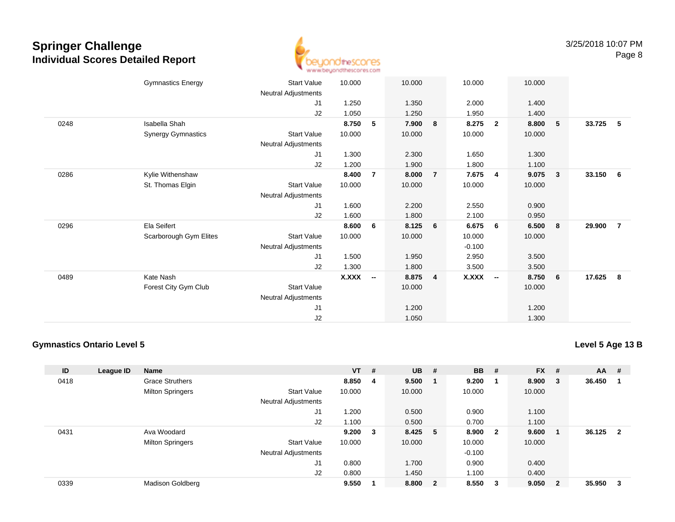

|      | <b>Gymnastics Energy</b>  | <b>Start Value</b>         | 10.000       |                          | 10.000 |                | 10.000       |                | 10.000 |                         |        |                |
|------|---------------------------|----------------------------|--------------|--------------------------|--------|----------------|--------------|----------------|--------|-------------------------|--------|----------------|
|      |                           | Neutral Adjustments        |              |                          |        |                |              |                |        |                         |        |                |
|      |                           | J1                         | 1.250        |                          | 1.350  |                | 2.000        |                | 1.400  |                         |        |                |
|      |                           | J2                         | 1.050        |                          | 1.250  |                | 1.950        |                | 1.400  |                         |        |                |
| 0248 | Isabella Shah             |                            | 8.750        | 5                        | 7.900  | 8              | 8.275        | $\overline{2}$ | 8.800  | 5                       | 33.725 | - 5            |
|      | <b>Synergy Gymnastics</b> | Start Value                | 10.000       |                          | 10.000 |                | 10.000       |                | 10.000 |                         |        |                |
|      |                           | Neutral Adjustments        |              |                          |        |                |              |                |        |                         |        |                |
|      |                           | J1                         | 1.300        |                          | 2.300  |                | 1.650        |                | 1.300  |                         |        |                |
|      |                           | J2                         | 1.200        |                          | 1.900  |                | 1.800        |                | 1.100  |                         |        |                |
| 0286 | Kylie Withenshaw          |                            | 8.400        | $\overline{7}$           | 8.000  | $\overline{7}$ | 7.675        | 4              | 9.075  | $\overline{\mathbf{3}}$ | 33.150 | 6              |
|      | St. Thomas Elgin          | <b>Start Value</b>         | 10.000       |                          | 10.000 |                | 10.000       |                | 10.000 |                         |        |                |
|      |                           | Neutral Adjustments        |              |                          |        |                |              |                |        |                         |        |                |
|      |                           | J1                         | 1.600        |                          | 2.200  |                | 2.550        |                | 0.900  |                         |        |                |
|      |                           | J2                         | 1.600        |                          | 1.800  |                | 2.100        |                | 0.950  |                         |        |                |
| 0296 | Ela Seifert               |                            | 8.600        | 6                        | 8.125  | 6              | 6.675        | 6              | 6.500  | $\bf{8}$                | 29.900 | $\overline{7}$ |
|      | Scarborough Gym Elites    | <b>Start Value</b>         | 10.000       |                          | 10.000 |                | 10.000       |                | 10.000 |                         |        |                |
|      |                           | Neutral Adjustments        |              |                          |        |                | $-0.100$     |                |        |                         |        |                |
|      |                           | J1                         | 1.500        |                          | 1.950  |                | 2.950        |                | 3.500  |                         |        |                |
|      |                           | J2                         | 1.300        |                          | 1.800  |                | 3.500        |                | 3.500  |                         |        |                |
| 0489 | Kate Nash                 |                            | <b>X.XXX</b> | $\overline{\phantom{a}}$ | 8.875  | $\overline{4}$ | <b>X.XXX</b> | $\sim$         | 8.750  | 6                       | 17.625 | 8              |
|      | Forest City Gym Club      | Start Value                |              |                          | 10.000 |                |              |                | 10.000 |                         |        |                |
|      |                           | <b>Neutral Adjustments</b> |              |                          |        |                |              |                |        |                         |        |                |
|      |                           | J <sub>1</sub>             |              |                          | 1.200  |                |              |                | 1.200  |                         |        |                |
|      |                           | J2                         |              |                          | 1.050  |                |              |                | 1.300  |                         |        |                |
|      |                           |                            |              |                          |        |                |              |                |        |                         |        |                |

#### **Gymnastics Ontario Level 5**

**Level 5 Age 13 B**

| ID   | League ID | Name                    |                            | $VT$ # |   | <b>UB</b> | #                       | <b>BB</b> | - #                     | <b>FX</b> | #                       | <b>AA</b> | -#                      |
|------|-----------|-------------------------|----------------------------|--------|---|-----------|-------------------------|-----------|-------------------------|-----------|-------------------------|-----------|-------------------------|
| 0418 |           | <b>Grace Struthers</b>  |                            | 8.850  | 4 | 9.500     |                         | 9.200     | - 1                     | 8.900     | $_{3}$                  | 36.450    | -1                      |
|      |           | <b>Milton Springers</b> | <b>Start Value</b>         | 10.000 |   | 10.000    |                         | 10.000    |                         | 10.000    |                         |           |                         |
|      |           |                         | <b>Neutral Adjustments</b> |        |   |           |                         |           |                         |           |                         |           |                         |
|      |           |                         | J <sub>1</sub>             | 1.200  |   | 0.500     |                         | 0.900     |                         | 1.100     |                         |           |                         |
|      |           |                         | J2                         | 1.100  |   | 0.500     |                         | 0.700     |                         | 1.100     |                         |           |                         |
| 0431 |           | Ava Woodard             |                            | 9.200  | 3 | 8.425     | -5                      | 8.900     | $\overline{\mathbf{2}}$ | 9.600     |                         | 36.125    | $\overline{\mathbf{2}}$ |
|      |           | <b>Milton Springers</b> | <b>Start Value</b>         | 10.000 |   | 10.000    |                         | 10.000    |                         | 10.000    |                         |           |                         |
|      |           |                         | <b>Neutral Adjustments</b> |        |   |           |                         | $-0.100$  |                         |           |                         |           |                         |
|      |           |                         | J <sub>1</sub>             | 0.800  |   | 1.700     |                         | 0.900     |                         | 0.400     |                         |           |                         |
|      |           |                         | J2                         | 0.800  |   | 1.450     |                         | 1.100     |                         | 0.400     |                         |           |                         |
| 0339 |           | Madison Goldberg        |                            | 9.550  |   | 8.800     | $\overline{\mathbf{2}}$ | 8.550     | $\overline{\mathbf{3}}$ | 9.050     | $\overline{\mathbf{2}}$ | 35.950    | -3                      |